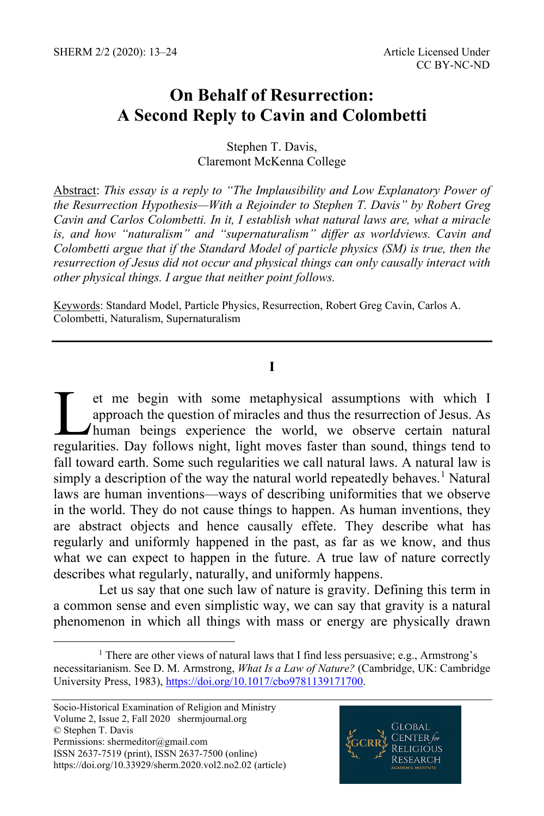# **On Behalf of Resurrection: A Second Reply to Cavin and Colombetti**

Stephen T. Davis, Claremont McKenna College

Abstract: *This essay is a reply to "The Implausibility and Low Explanatory Power of the Resurrection Hypothesis—With a Rejoinder to Stephen T. Davis" by Robert Greg Cavin and Carlos Colombetti. In it, I establish what natural laws are, what a miracle is, and how "naturalism" and "supernaturalism" differ as worldviews. Cavin and Colombetti argue that if the Standard Model of particle physics (SM) is true, then the resurrection of Jesus did not occur and physical things can only causally interact with other physical things. I argue that neither point follows.*

Keywords: Standard Model, Particle Physics, Resurrection, Robert Greg Cavin, Carlos A. Colombetti, Naturalism, Supernaturalism

### **I**

et me begin with some metaphysical assumptions with which I approach the question of miracles and thus the resurrection of Jesus. As human beings experience the world, we observe certain natural et me begin with some metaphysical assumptions with which I approach the question of miracles and thus the resurrection of Jesus. As human beings experience the world, we observe certain natural regularities. Day follows n fall toward earth. Some such regularities we call natural laws. A natural law is simply a description of the way the natural world repeatedly behaves.<sup>[1](#page-0-0)</sup> Natural laws are human inventions—ways of describing uniformities that we observe in the world. They do not cause things to happen. As human inventions, they are abstract objects and hence causally effete. They describe what has regularly and uniformly happened in the past, as far as we know, and thus what we can expect to happen in the future. A true law of nature correctly describes what regularly, naturally, and uniformly happens.

Let us say that one such law of nature is gravity. Defining this term in a common sense and even simplistic way, we can say that gravity is a natural phenomenon in which all things with mass or energy are physically drawn



<span id="page-0-0"></span><sup>&</sup>lt;sup>1</sup> There are other views of natural laws that I find less persuasive; e.g., Armstrong's necessitarianism. See D. M. Armstrong, *What Is a Law of Nature?* (Cambridge, UK: Cambridge University Press, 1983)[, https://doi.org/10.1017/cbo9781139171700.](https://doi.org/10.1017/cbo9781139171700)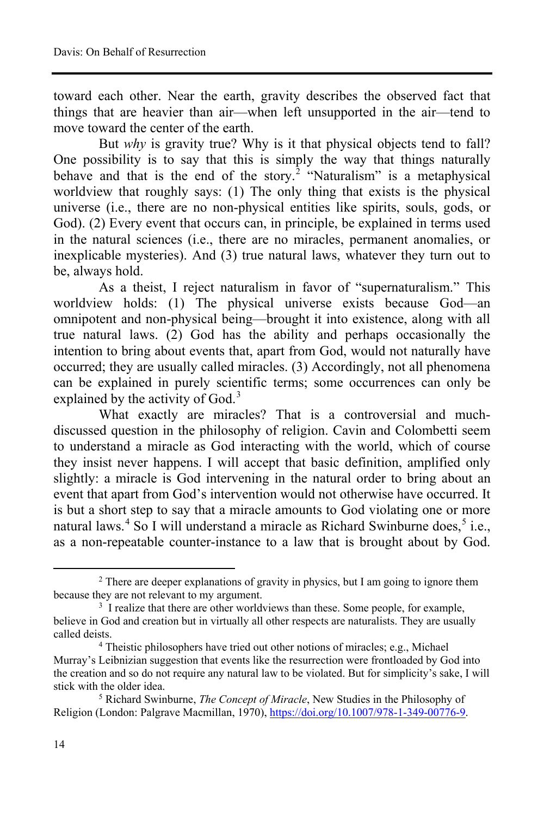toward each other. Near the earth, gravity describes the observed fact that things that are heavier than air—when left unsupported in the air—tend to move toward the center of the earth.

 But *why* is gravity true? Why is it that physical objects tend to fall? One possibility is to say that this is simply the way that things naturally behave and that is the end of the story.<sup>[2](#page-1-0)</sup> "Naturalism" is a metaphysical worldview that roughly says: (1) The only thing that exists is the physical universe (i.e., there are no non-physical entities like spirits, souls, gods, or God). (2) Every event that occurs can, in principle, be explained in terms used in the natural sciences (i.e., there are no miracles, permanent anomalies, or inexplicable mysteries). And (3) true natural laws, whatever they turn out to be, always hold.

As a theist, I reject naturalism in favor of "supernaturalism." This worldview holds: (1) The physical universe exists because God—an omnipotent and non-physical being—brought it into existence, along with all true natural laws. (2) God has the ability and perhaps occasionally the intention to bring about events that, apart from God, would not naturally have occurred; they are usually called miracles. (3) Accordingly, not all phenomena can be explained in purely scientific terms; some occurrences can only be explained by the activity of God.<sup>[3](#page-1-1)</sup>

What exactly are miracles? That is a controversial and muchdiscussed question in the philosophy of religion. Cavin and Colombetti seem to understand a miracle as God interacting with the world, which of course they insist never happens. I will accept that basic definition, amplified only slightly: a miracle is God intervening in the natural order to bring about an event that apart from God's intervention would not otherwise have occurred. It is but a short step to say that a miracle amounts to God violating one or more natural laws.<sup>[4](#page-1-2)</sup> So I will understand a miracle as Richard Swinburne does,<sup>[5](#page-1-3)</sup> i.e., as a non-repeatable counter-instance to a law that is brought about by God.

<span id="page-1-0"></span><sup>&</sup>lt;sup>2</sup> There are deeper explanations of gravity in physics, but I am going to ignore them because they are not relevant to my argument.<br><sup>3</sup> I realize that there are other worldviews than these. Some people, for example,

<span id="page-1-1"></span>believe in God and creation but in virtually all other respects are naturalists. They are usually called deists.

<span id="page-1-2"></span><sup>&</sup>lt;sup>4</sup> Theistic philosophers have tried out other notions of miracles; e.g., Michael Murray's Leibnizian suggestion that events like the resurrection were frontloaded by God into the creation and so do not require any natural law to be violated. But for simplicity's sake, I will stick with the older idea. 5 Richard Swinburne, *The Concept of Miracle*, New Studies in the Philosophy of

<span id="page-1-3"></span>Religion (London: Palgrave Macmillan, 1970), [https://doi.org/10.1007/978-1-349-00776-9.](https://doi.org/10.1007/978-1-349-00776-9)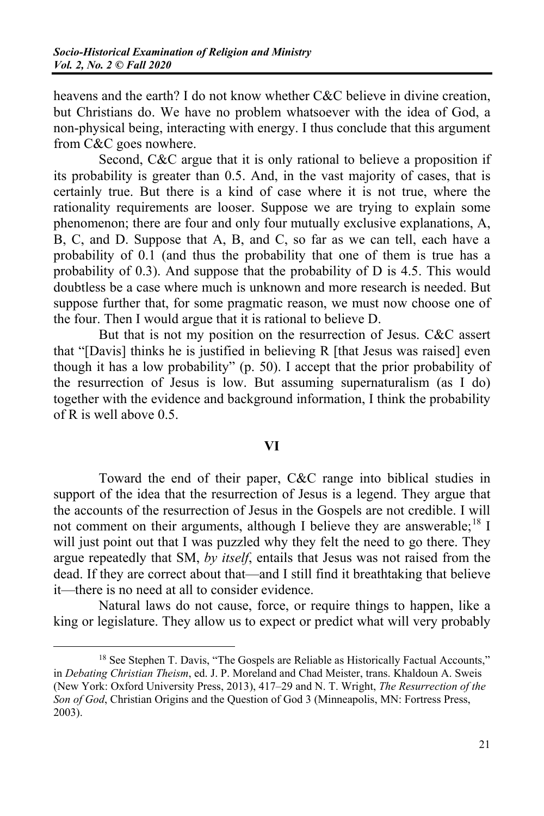heavens and the earth? I do not know whether C&C believe in divine creation, but Christians do. We have no problem whatsoever with the idea of God, a non-physical being, interacting with energy. I thus conclude that this argument from C&C goes nowhere.

Second, C&C argue that it is only rational to believe a proposition if its probability is greater than 0.5. And, in the vast majority of cases, that is certainly true. But there is a kind of case where it is not true, where the rationality requirements are looser. Suppose we are trying to explain some phenomenon; there are four and only four mutually exclusive explanations, A, B, C, and D. Suppose that A, B, and C, so far as we can tell, each have a probability of 0.1 (and thus the probability that one of them is true has a probability of 0.3). And suppose that the probability of D is 4.5. This would doubtless be a case where much is unknown and more research is needed. But suppose further that, for some pragmatic reason, we must now choose one of the four. Then I would argue that it is rational to believe D.

But that is not my position on the resurrection of Jesus. C&C assert that "[Davis] thinks he is justified in believing R [that Jesus was raised] even though it has a low probability" (p. 50). I accept that the prior probability of the resurrection of Jesus is low. But assuming supernaturalism (as I do) together with the evidence and background information, I think the probability of R is well above 0.5.

### **VI**

Toward the end of their paper, C&C range into biblical studies in support of the idea that the resurrection of Jesus is a legend. They argue that the accounts of the resurrection of Jesus in the Gospels are not credible. I will not comment on their arguments, although I believe they are answerable;<sup>[18](#page-2-0)</sup> I will just point out that I was puzzled why they felt the need to go there. They argue repeatedly that SM, *by itself*, entails that Jesus was not raised from the dead. If they are correct about that—and I still find it breathtaking that believe it—there is no need at all to consider evidence.

Natural laws do not cause, force, or require things to happen, like a king or legislature. They allow us to expect or predict what will very probably

<span id="page-2-0"></span><sup>&</sup>lt;sup>18</sup> See Stephen T. Davis, "The Gospels are Reliable as Historically Factual Accounts," in *Debating Christian Theism*, ed. J. P. Moreland and Chad Meister, trans. Khaldoun A. Sweis (New York: Oxford University Press, 2013), 417–29 and N. T. Wright, *The Resurrection of the Son of God*, Christian Origins and the Question of God 3 (Minneapolis, MN: Fortress Press, 2003).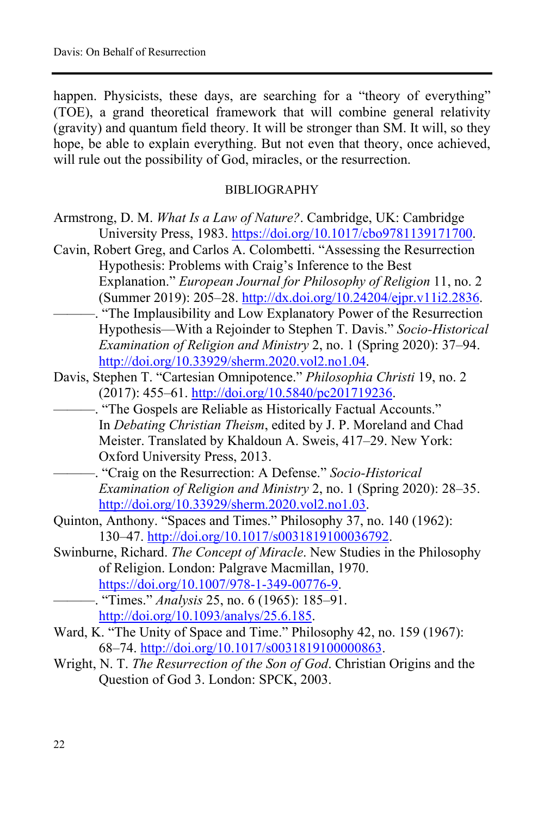happen. Physicists, these days, are searching for a "theory of everything" (TOE), a grand theoretical framework that will combine general relativity (gravity) and quantum field theory. It will be stronger than SM. It will, so they hope, be able to explain everything. But not even that theory, once achieved, will rule out the possibility of God, miracles, or the resurrection.

#### BIBLIOGRAPHY

| Armstrong, D. M. What Is a Law of Nature?. Cambridge, UK: Cambridge |
|---------------------------------------------------------------------|
| University Press, 1983. https://doi.org/10.1017/cbo9781139171700.   |

- Cavin, Robert Greg, and Carlos A. Colombetti. "Assessing the Resurrection Hypothesis: Problems with Craig's Inference to the Best Explanation." *European Journal for Philosophy of Religion* 11, no. 2  $(Summer 2019): 205-28. \frac{http://dx.doi.org/10.24204/eipr.v11i2.2836.$
- ———. "The Implausibility and Low Explanatory Power of the Resurrection Hypothesis—With a Rejoinder to Stephen T. Davis." *Socio-Historical Examination of Religion and Ministry* 2, no. 1 (Spring 2020): 37–94. [http://doi.org/10.33929/sherm.2020.vol2.no1.04.](http://doi.org/10.33929/sherm.2020.vol2.no1.04)
- Davis, Stephen T. "Cartesian Omnipotence." *Philosophia Christi* 19, no. 2  $(2017): 455-61.$  [http://doi.org/10.5840/pc201719236.](http://doi.org/10.5840/pc201719236)
	- ———. "The Gospels are Reliable as Historically Factual Accounts." In *Debating Christian Theism*, edited by J. P. Moreland and Chad Meister. Translated by Khaldoun A. Sweis, 417-29. New York: Oxford University Press, 2013.
	- ———. "Craig on the Resurrection: A Defense." *Socio-Historical Examination of Religion and Ministry* 2, no. 1 (Spring 2020): 28–35. [http://doi.org/10.33929/sherm.2020.vol2.no1.03.](http://doi.org/10.33929/sherm.2020.vol2.no1.03)
- Quinton, Anthony. "Spaces and Times." Philosophy 37, no. 140 (1962): 13047. [http://doi.org/10.1017/s0031819100036792.](http://doi.org/10.1017/s0031819100000863)
- Swinburne, Richard. *The Concept of Miracle*. New Studies in the Philosophy of Religion. London: Palgrave Macmillan, 1970. [https://doi.org/10.1007/978-1-349-00776-9.](https://doi.org/10.1007/978-1-349-00776-9)

—. "Times." *Analysis* 25, no. 6 (1965): 185–91. [http://doi.org/10.1093/analys/25.6.185.](http://doi.org/10.1093/analys/25.6.185)

- Ward, K. "The Unity of Space and Time." Philosophy 42, no. 159 (1967): 6874. [http://doi.org/10.1017/s0031819100000863.](http://doi.org/10.1017/s0031819100000863)
- Wright, N. T. *The Resurrection of the Son of God*. Christian Origins and the Question of God 3. London: SPCK, 2003.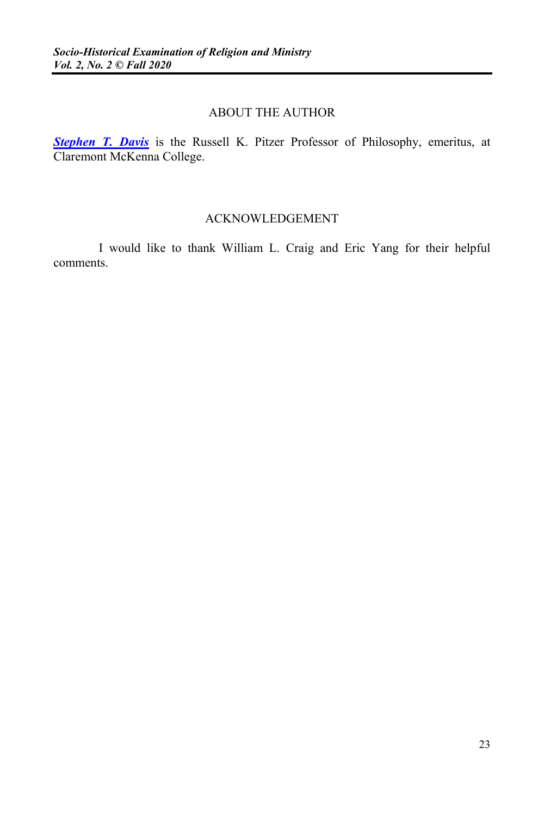#### ABOUT THE AUTHOR

**[Stephen T. Davis](https://sites.google.com/view/stephen-davis/home)** is the Russell K. Pitzer Professor of Philosophy, emeritus, at Claremont McKenna College.

#### ACKNOWLEDGEMENT

I would like to thank William L. Craig and Eric Yang for their helpful comments.